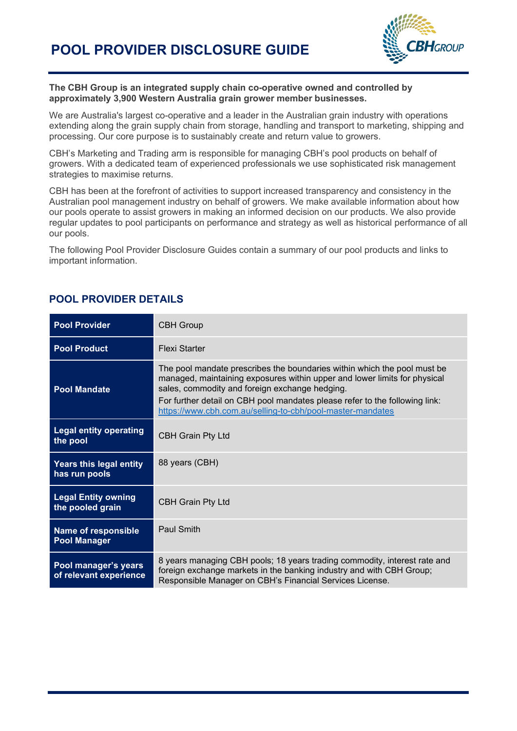

#### **The CBH Group is an integrated supply chain co-operative owned and controlled by approximately 3,900 Western Australia grain grower member businesses.**

We are Australia's largest co-operative and a leader in the Australian grain industry with operations extending along the grain supply chain from storage, handling and transport to marketing, shipping and processing. Our core purpose is to sustainably create and return value to growers.

CBH's Marketing and Trading arm is responsible for managing CBH's pool products on behalf of growers. With a dedicated team of experienced professionals we use sophisticated risk management strategies to maximise returns.

CBH has been at the forefront of activities to support increased transparency and consistency in the Australian pool management industry on behalf of growers. We make available information about how our pools operate to assist growers in making an informed decision on our products. We also provide regular updates to pool participants on performance and strategy as well as historical performance of all our pools.

The following Pool Provider Disclosure Guides contain a summary of our pool products and links to important information.

| <b>Pool Provider</b>                              | <b>CBH Group</b>                                                                                                                                                                                                                                                                                                                                     |
|---------------------------------------------------|------------------------------------------------------------------------------------------------------------------------------------------------------------------------------------------------------------------------------------------------------------------------------------------------------------------------------------------------------|
| <b>Pool Product</b>                               | Flexi Starter                                                                                                                                                                                                                                                                                                                                        |
| <b>Pool Mandate</b>                               | The pool mandate prescribes the boundaries within which the pool must be<br>managed, maintaining exposures within upper and lower limits for physical<br>sales, commodity and foreign exchange hedging.<br>For further detail on CBH pool mandates please refer to the following link:<br>https://www.cbh.com.au/selling-to-cbh/pool-master-mandates |
| <b>Legal entity operating</b><br>the pool         | <b>CBH Grain Pty Ltd</b>                                                                                                                                                                                                                                                                                                                             |
| Years this legal entity<br>has run pools          | 88 years (CBH)                                                                                                                                                                                                                                                                                                                                       |
| <b>Legal Entity owning</b><br>the pooled grain    | <b>CBH Grain Pty Ltd</b>                                                                                                                                                                                                                                                                                                                             |
| <b>Name of responsible</b><br><b>Pool Manager</b> | Paul Smith                                                                                                                                                                                                                                                                                                                                           |
| Pool manager's years<br>of relevant experience    | 8 years managing CBH pools; 18 years trading commodity, interest rate and<br>foreign exchange markets in the banking industry and with CBH Group;<br>Responsible Manager on CBH's Financial Services License.                                                                                                                                        |

#### **POOL PROVIDER DETAILS**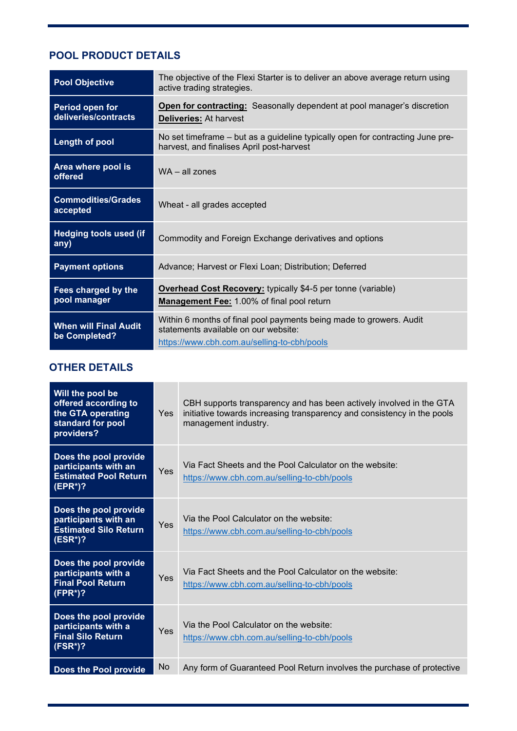# **POOL PRODUCT DETAILS**

| <b>Pool Objective</b>                         | The objective of the Flexi Starter is to deliver an above average return using<br>active trading strategies.                                               |
|-----------------------------------------------|------------------------------------------------------------------------------------------------------------------------------------------------------------|
| Period open for<br>deliveries/contracts       | Open for contracting: Seasonally dependent at pool manager's discretion<br><b>Deliveries: At harvest</b>                                                   |
| <b>Length of pool</b>                         | No set timeframe – but as a guideline typically open for contracting June pre-<br>harvest, and finalises April post-harvest                                |
| Area where pool is<br>offered                 | $WA - all zones$                                                                                                                                           |
| <b>Commodities/Grades</b><br>accepted         | Wheat - all grades accepted                                                                                                                                |
| <b>Hedging tools used (if</b><br>any)         | Commodity and Foreign Exchange derivatives and options                                                                                                     |
| <b>Payment options</b>                        | Advance; Harvest or Flexi Loan; Distribution; Deferred                                                                                                     |
| Fees charged by the<br>pool manager           | <b>Overhead Cost Recovery:</b> typically \$4-5 per tonne (variable)<br>Management Fee: 1.00% of final pool return                                          |
| <b>When will Final Audit</b><br>be Completed? | Within 6 months of final pool payments being made to growers. Audit<br>statements available on our website:<br>https://www.cbh.com.au/selling-to-cbh/pools |

## **OTHER DETAILS**

| Will the pool be<br>offered according to<br>the GTA operating<br>standard for pool<br>providers? | <b>Yes</b> | CBH supports transparency and has been actively involved in the GTA<br>initiative towards increasing transparency and consistency in the pools<br>management industry. |
|--------------------------------------------------------------------------------------------------|------------|------------------------------------------------------------------------------------------------------------------------------------------------------------------------|
| Does the pool provide<br>participants with an<br><b>Estimated Pool Return</b><br>$(EPR^*)$ ?     | Yes        | Via Fact Sheets and the Pool Calculator on the website:<br>https://www.cbh.com.au/selling-to-cbh/pools                                                                 |
| Does the pool provide<br>participants with an<br><b>Estimated Silo Return</b><br>$(ESR*)$ ?      | Yes        | Via the Pool Calculator on the website:<br>https://www.cbh.com.au/selling-to-cbh/pools                                                                                 |
| Does the pool provide<br>participants with a<br><b>Final Pool Return</b><br>$(FPR*)$ ?           | Yes        | Via Fact Sheets and the Pool Calculator on the website:<br>https://www.cbh.com.au/selling-to-cbh/pools                                                                 |
| Does the pool provide<br>participants with a<br><b>Final Silo Return</b><br>$(FSR^*)$ ?          | Yes        | Via the Pool Calculator on the website:<br>https://www.cbh.com.au/selling-to-cbh/pools                                                                                 |
| Does the Pool provide                                                                            | No         | Any form of Guaranteed Pool Return involves the purchase of protective                                                                                                 |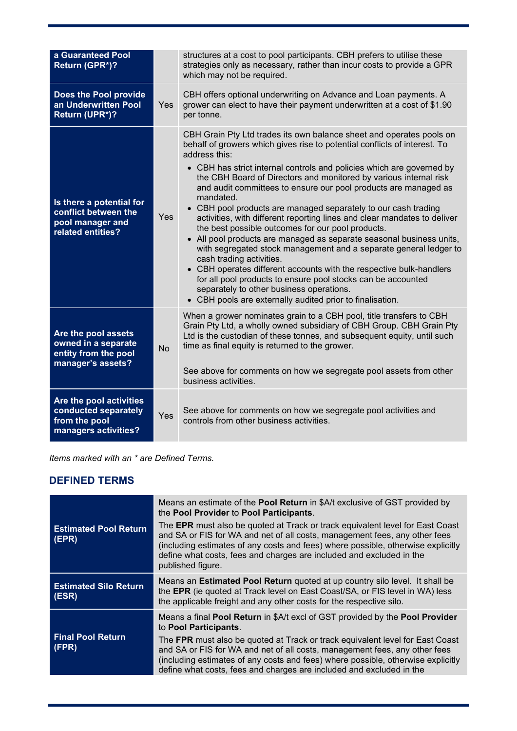| a Guaranteed Pool<br>Return (GPR*)?                                                       |            | structures at a cost to pool participants. CBH prefers to utilise these<br>strategies only as necessary, rather than incur costs to provide a GPR<br>which may not be required.                                                                                                                                                                                                                                                                                                                                                                                                                                                                                                                                                                                                                                                                                                                                                                                                                                              |
|-------------------------------------------------------------------------------------------|------------|------------------------------------------------------------------------------------------------------------------------------------------------------------------------------------------------------------------------------------------------------------------------------------------------------------------------------------------------------------------------------------------------------------------------------------------------------------------------------------------------------------------------------------------------------------------------------------------------------------------------------------------------------------------------------------------------------------------------------------------------------------------------------------------------------------------------------------------------------------------------------------------------------------------------------------------------------------------------------------------------------------------------------|
| Does the Pool provide<br>an Underwritten Pool<br>Return (UPR*)?                           | <b>Yes</b> | CBH offers optional underwriting on Advance and Loan payments. A<br>grower can elect to have their payment underwritten at a cost of \$1.90<br>per tonne.                                                                                                                                                                                                                                                                                                                                                                                                                                                                                                                                                                                                                                                                                                                                                                                                                                                                    |
| Is there a potential for<br>conflict between the<br>pool manager and<br>related entities? | Yes        | CBH Grain Pty Ltd trades its own balance sheet and operates pools on<br>behalf of growers which gives rise to potential conflicts of interest. To<br>address this:<br>• CBH has strict internal controls and policies which are governed by<br>the CBH Board of Directors and monitored by various internal risk<br>and audit committees to ensure our pool products are managed as<br>mandated.<br>• CBH pool products are managed separately to our cash trading<br>activities, with different reporting lines and clear mandates to deliver<br>the best possible outcomes for our pool products.<br>• All pool products are managed as separate seasonal business units,<br>with segregated stock management and a separate general ledger to<br>cash trading activities.<br>• CBH operates different accounts with the respective bulk-handlers<br>for all pool products to ensure pool stocks can be accounted<br>separately to other business operations.<br>• CBH pools are externally audited prior to finalisation. |
| Are the pool assets<br>owned in a separate<br>entity from the pool<br>manager's assets?   | <b>No</b>  | When a grower nominates grain to a CBH pool, title transfers to CBH<br>Grain Pty Ltd, a wholly owned subsidiary of CBH Group. CBH Grain Pty<br>Ltd is the custodian of these tonnes, and subsequent equity, until such<br>time as final equity is returned to the grower.<br>See above for comments on how we segregate pool assets from other<br>business activities.                                                                                                                                                                                                                                                                                                                                                                                                                                                                                                                                                                                                                                                       |
| Are the pool activities<br>conducted separately<br>from the pool<br>managers activities?  | Yes        | See above for comments on how we segregate pool activities and<br>controls from other business activities.                                                                                                                                                                                                                                                                                                                                                                                                                                                                                                                                                                                                                                                                                                                                                                                                                                                                                                                   |

| Items marked with an * are Defined Terms. |
|-------------------------------------------|
|-------------------------------------------|

### **DEFINED TERMS**

| <b>Estimated Pool Return</b><br>(EPR) | Means an estimate of the <b>Pool Return</b> in \$A/t exclusive of GST provided by<br>the Pool Provider to Pool Participants.<br>The EPR must also be quoted at Track or track equivalent level for East Coast<br>and SA or FIS for WA and net of all costs, management fees, any other fees<br>(including estimates of any costs and fees) where possible, otherwise explicitly<br>define what costs, fees and charges are included and excluded in the<br>published figure. |
|---------------------------------------|------------------------------------------------------------------------------------------------------------------------------------------------------------------------------------------------------------------------------------------------------------------------------------------------------------------------------------------------------------------------------------------------------------------------------------------------------------------------------|
| <b>Estimated Silo Return</b><br>(ESR) | Means an <b>Estimated Pool Return</b> quoted at up country silo level. It shall be<br>the EPR (ie quoted at Track level on East Coast/SA, or FIS level in WA) less<br>the applicable freight and any other costs for the respective silo.                                                                                                                                                                                                                                    |
| <b>Final Pool Return</b><br>(FPR)     | Means a final Pool Return in \$A/t excl of GST provided by the Pool Provider<br>to Pool Participants.<br>The FPR must also be quoted at Track or track equivalent level for East Coast<br>and SA or FIS for WA and net of all costs, management fees, any other fees<br>(including estimates of any costs and fees) where possible, otherwise explicitly<br>define what costs, fees and charges are included and excluded in the                                             |